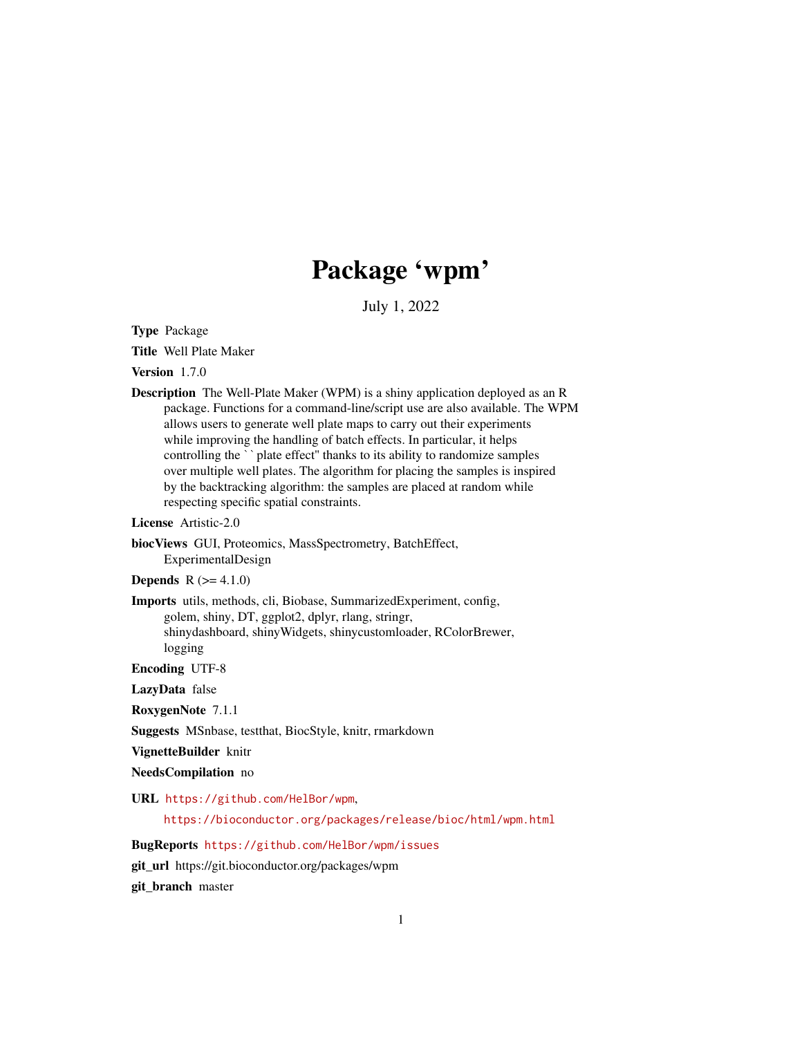# Package 'wpm'

July 1, 2022

Type Package

Title Well Plate Maker

Version 1.7.0

Description The Well-Plate Maker (WPM) is a shiny application deployed as an R package. Functions for a command-line/script use are also available. The WPM allows users to generate well plate maps to carry out their experiments while improving the handling of batch effects. In particular, it helps controlling the ``plate effect" thanks to its ability to randomize samples over multiple well plates. The algorithm for placing the samples is inspired by the backtracking algorithm: the samples are placed at random while respecting specific spatial constraints.

License Artistic-2.0

biocViews GUI, Proteomics, MassSpectrometry, BatchEffect, ExperimentalDesign

**Depends**  $R (= 4.1.0)$ 

Imports utils, methods, cli, Biobase, SummarizedExperiment, config, golem, shiny, DT, ggplot2, dplyr, rlang, stringr, shinydashboard, shinyWidgets, shinycustomloader, RColorBrewer, logging

Encoding UTF-8

LazyData false

RoxygenNote 7.1.1

Suggests MSnbase, testthat, BiocStyle, knitr, rmarkdown

VignetteBuilder knitr

NeedsCompilation no

URL <https://github.com/HelBor/wpm>,

<https://bioconductor.org/packages/release/bioc/html/wpm.html>

BugReports <https://github.com/HelBor/wpm/issues>

git\_url https://git.bioconductor.org/packages/wpm

git\_branch master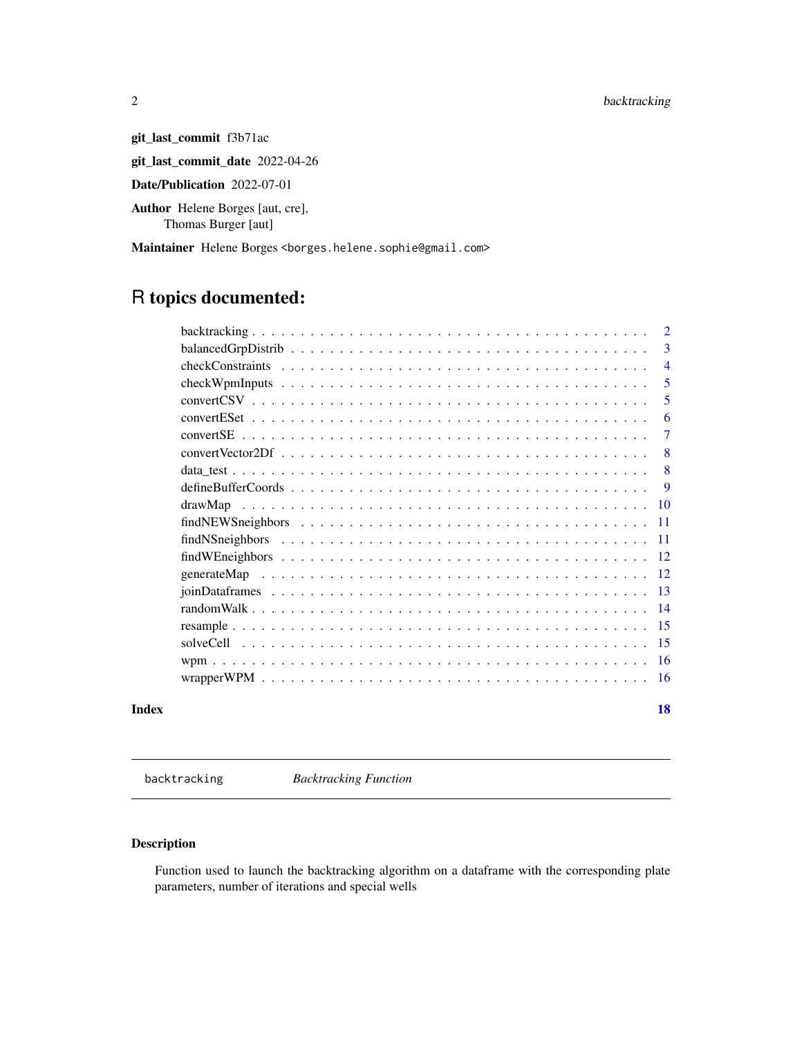<span id="page-1-0"></span>2 backtracking

git\_last\_commit f3b71ac

git\_last\_commit\_date 2022-04-26

Date/Publication 2022-07-01

Author Helene Borges [aut, cre], Thomas Burger [aut]

Maintainer Helene Borges <borges.helene.sophie@gmail.com>

# R topics documented:

|       |         | $\overline{2}$ |
|-------|---------|----------------|
|       |         | 3              |
|       |         | $\overline{4}$ |
|       |         | 5              |
|       |         | 5              |
|       |         | 6              |
|       |         | 7              |
|       |         | 8              |
|       |         | 8              |
|       |         | <b>9</b>       |
|       | drawMap | -10            |
|       |         |                |
|       |         |                |
|       |         |                |
|       |         |                |
|       |         |                |
|       |         |                |
|       |         |                |
|       |         |                |
|       |         |                |
|       |         |                |
| Index |         | 18             |

backtracking *Backtracking Function*

# Description

Function used to launch the backtracking algorithm on a dataframe with the corresponding plate parameters, number of iterations and special wells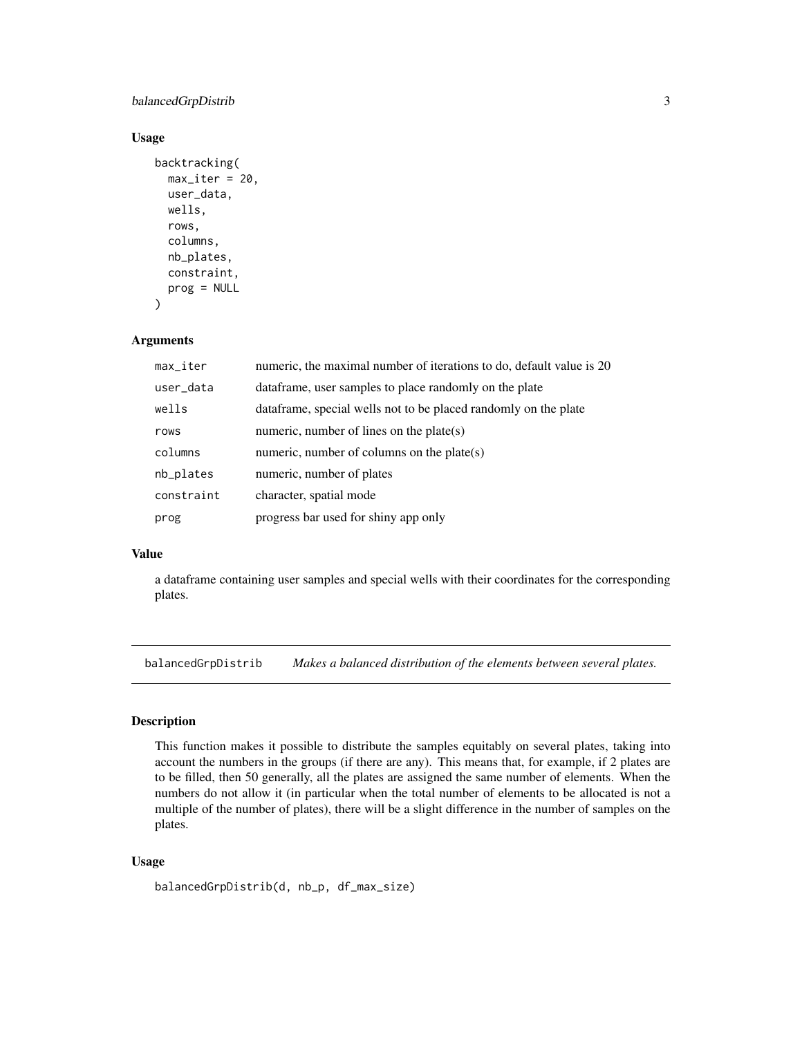# <span id="page-2-0"></span>balancedGrpDistrib 3

#### Usage

```
backtracking(
 max\_iter = 20,
  user_data,
 wells,
  rows,
  columns,
  nb_plates,
  constraint,
  prog = NULL
)
```
#### Arguments

| $max$ <sub>Liter</sub> | numeric, the maximal number of iterations to do, default value is 20 |
|------------------------|----------------------------------------------------------------------|
| user_data              | data frame, user samples to place randomly on the plate              |
| wells                  | dataframe, special wells not to be placed randomly on the plate      |
| rows                   | numeric, number of lines on the plate $(s)$                          |
| columns                | numeric, number of columns on the plate $(s)$                        |
| nb_plates              | numeric, number of plates                                            |
| constraint             | character, spatial mode                                              |
| prog                   | progress bar used for shiny app only                                 |

# Value

a dataframe containing user samples and special wells with their coordinates for the corresponding plates.

balancedGrpDistrib *Makes a balanced distribution of the elements between several plates.*

#### Description

This function makes it possible to distribute the samples equitably on several plates, taking into account the numbers in the groups (if there are any). This means that, for example, if 2 plates are to be filled, then 50 generally, all the plates are assigned the same number of elements. When the numbers do not allow it (in particular when the total number of elements to be allocated is not a multiple of the number of plates), there will be a slight difference in the number of samples on the plates.

```
balancedGrpDistrib(d, nb_p, df_max_size)
```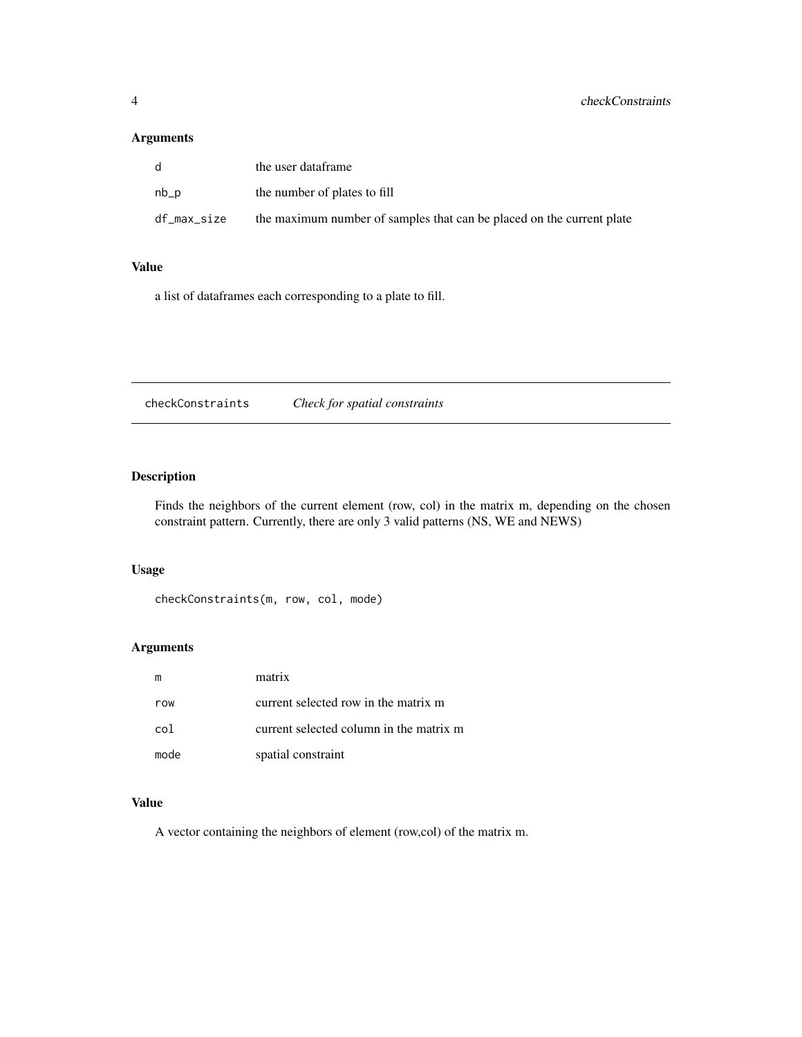# <span id="page-3-0"></span>Arguments

| d.          | the user dataframe                                                    |
|-------------|-----------------------------------------------------------------------|
| $nb_p$      | the number of plates to fill                                          |
| df_max_size | the maximum number of samples that can be placed on the current plate |

# Value

a list of dataframes each corresponding to a plate to fill.

checkConstraints *Check for spatial constraints*

# Description

Finds the neighbors of the current element (row, col) in the matrix m, depending on the chosen constraint pattern. Currently, there are only 3 valid patterns (NS, WE and NEWS)

# Usage

```
checkConstraints(m, row, col, mode)
```
# Arguments

|      | matrix                                  |
|------|-----------------------------------------|
| row  | current selected row in the matrix m    |
| col  | current selected column in the matrix m |
| mode | spatial constraint                      |

# Value

A vector containing the neighbors of element (row,col) of the matrix m.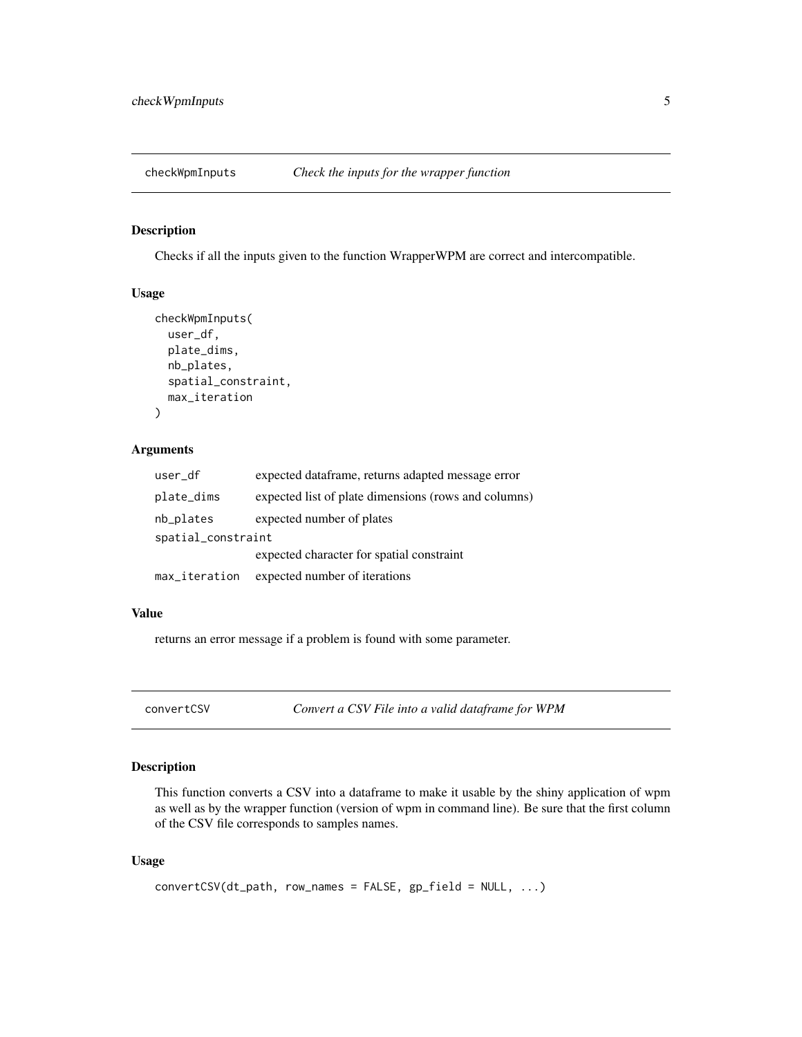<span id="page-4-0"></span>

Checks if all the inputs given to the function WrapperWPM are correct and intercompatible.

#### Usage

```
checkWpmInputs(
  user_df,
  plate_dims,
  nb_plates,
  spatial_constraint,
  max_iteration
\mathcal{L}
```
#### Arguments

| user_df            | expected dataframe, returns adapted message error    |
|--------------------|------------------------------------------------------|
| plate_dims         | expected list of plate dimensions (rows and columns) |
| nb_plates          | expected number of plates                            |
| spatial_constraint |                                                      |
|                    | expected character for spatial constraint            |
| max_iteration      | expected number of iterations                        |

# Value

returns an error message if a problem is found with some parameter.

convertCSV *Convert a CSV File into a valid dataframe for WPM*

# Description

This function converts a CSV into a dataframe to make it usable by the shiny application of wpm as well as by the wrapper function (version of wpm in command line). Be sure that the first column of the CSV file corresponds to samples names.

```
convertCSV(dt_path, row_names = FALSE, gp_field = NULL, ...)
```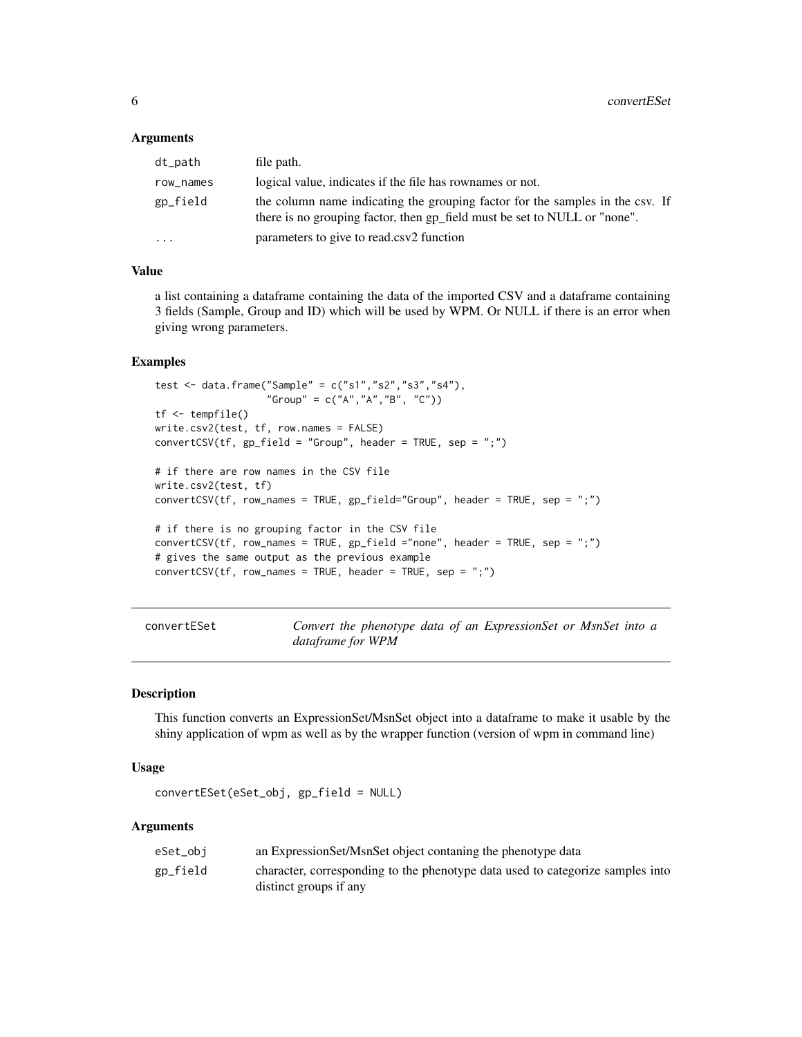#### <span id="page-5-0"></span>**Arguments**

| dt_path                 | file path.                                                                                                                                                 |
|-------------------------|------------------------------------------------------------------------------------------------------------------------------------------------------------|
| row_names               | logical value, indicates if the file has rownames or not.                                                                                                  |
| gp_field                | the column name indicating the grouping factor for the samples in the csv. If<br>there is no grouping factor, then gp_field must be set to NULL or "none". |
| $\cdot$ $\cdot$ $\cdot$ | parameters to give to read.csv2 function                                                                                                                   |

#### Value

a list containing a dataframe containing the data of the imported CSV and a dataframe containing 3 fields (Sample, Group and ID) which will be used by WPM. Or NULL if there is an error when giving wrong parameters.

#### Examples

```
test <- data.frame("Sample" = c("s1","s2","s3","s4"),
                   "Group" = c("A", "A", "B", "C")tf <- tempfile()
write.csv2(test, tf, row.names = FALSE)
convertCSV(tf, gp_field = "Group", header = TRUE, sep = ";")# if there are row names in the CSV file
write.csv2(test, tf)
convertCSV(tf, row_names = TRUE, gp_field="Group", header = TRUE, sep = ";")
# if there is no grouping factor in the CSV file
convertCSV(tf, row_names = TRUE, gp-field = "none", header = TRUE, sep = ";")# gives the same output as the previous example
convertCSV(tf, row_names = TRUE, header = TRUE, sep = ";")
```
convertESet *Convert the phenotype data of an ExpressionSet or MsnSet into a dataframe for WPM*

#### Description

This function converts an ExpressionSet/MsnSet object into a dataframe to make it usable by the shiny application of wpm as well as by the wrapper function (version of wpm in command line)

#### Usage

convertESet(eSet\_obj, gp\_field = NULL)

#### Arguments

| eSet_obi | an ExpressionSet/MsnSet object contaning the phenotype data                    |
|----------|--------------------------------------------------------------------------------|
| gp_field | character, corresponding to the phenotype data used to categorize samples into |
|          | distinct groups if any                                                         |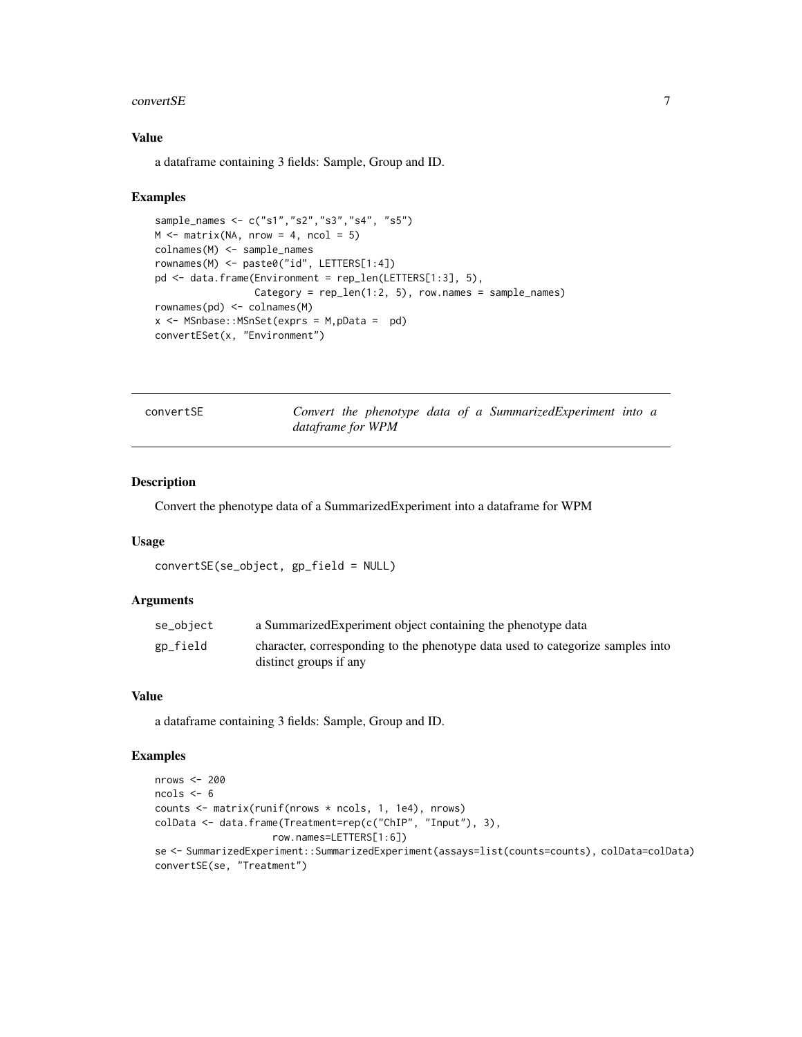#### <span id="page-6-0"></span> $convertSE$  7

## Value

a dataframe containing 3 fields: Sample, Group and ID.

#### Examples

```
sample_names <- c("s1","s2","s3","s4", "s5")
M \leq - matrix(NA, nrow = 4, ncol = 5)
colnames(M) <- sample_names
rownames(M) <- paste0("id", LETTERS[1:4])
pd <- data.frame(Environment = rep_len(LETTERS[1:3], 5),
                 Category = rep\_len(1:2, 5), row.names = sample_names)
rownames(pd) <- colnames(M)
x \le - MSnbase:: MSnSet(exprs = M, pData = pd)
convertESet(x, "Environment")
```
convertSE *Convert the phenotype data of a SummarizedExperiment into a dataframe for WPM*

# Description

Convert the phenotype data of a SummarizedExperiment into a dataframe for WPM

#### Usage

```
convertSE(se_object, gp_field = NULL)
```
#### Arguments

| se_object | a Summarized Experiment object containing the phenotype data                                             |
|-----------|----------------------------------------------------------------------------------------------------------|
| gp_field  | character, corresponding to the phenotype data used to categorize samples into<br>distinct groups if any |
|           |                                                                                                          |

#### Value

a dataframe containing 3 fields: Sample, Group and ID.

# Examples

```
nrows < -200ncols <- 6
counts <- matrix(runif(nrows * ncols, 1, 1e4), nrows)
colData <- data.frame(Treatment=rep(c("ChIP", "Input"), 3),
                    row.names=LETTERS[1:6])
se <- SummarizedExperiment::SummarizedExperiment(assays=list(counts=counts), colData=colData)
convertSE(se, "Treatment")
```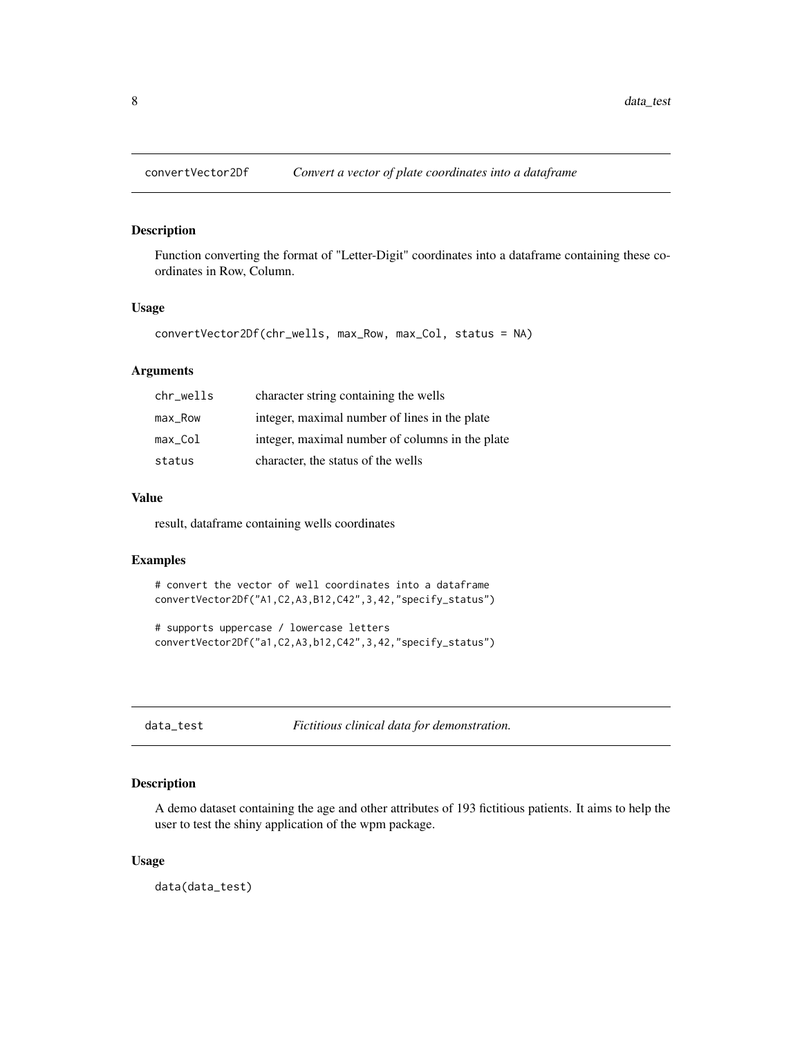<span id="page-7-0"></span>

Function converting the format of "Letter-Digit" coordinates into a dataframe containing these coordinates in Row, Column.

#### Usage

```
convertVector2Df(chr_wells, max_Row, max_Col, status = NA)
```
# Arguments

| chr_wells | character string containing the wells           |
|-----------|-------------------------------------------------|
| $max$ Row | integer, maximal number of lines in the plate   |
| max Col   | integer, maximal number of columns in the plate |
| status    | character, the status of the wells              |

# Value

result, dataframe containing wells coordinates

#### Examples

```
# convert the vector of well coordinates into a dataframe
convertVector2Df("A1,C2,A3,B12,C42",3,42,"specify_status")
```

```
# supports uppercase / lowercase letters
convertVector2Df("a1,C2,A3,b12,C42",3,42,"specify_status")
```
data\_test *Fictitious clinical data for demonstration.*

#### Description

A demo dataset containing the age and other attributes of 193 fictitious patients. It aims to help the user to test the shiny application of the wpm package.

#### Usage

data(data\_test)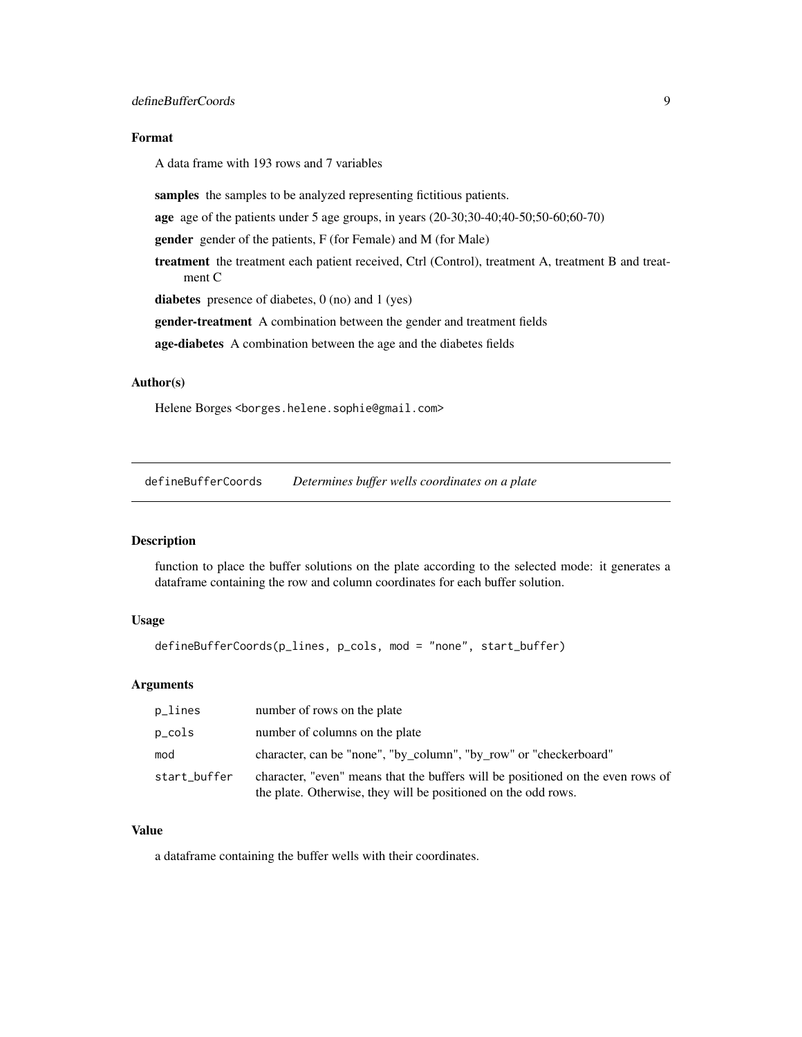# <span id="page-8-0"></span>Format

A data frame with 193 rows and 7 variables

samples the samples to be analyzed representing fictitious patients.

age age of the patients under 5 age groups, in years (20-30;30-40;40-50;50-60;60-70)

gender gender of the patients, F (for Female) and M (for Male)

treatment the treatment each patient received, Ctrl (Control), treatment A, treatment B and treatment C

diabetes presence of diabetes, 0 (no) and 1 (yes)

gender-treatment A combination between the gender and treatment fields

age-diabetes A combination between the age and the diabetes fields

# Author(s)

Helene Borges <borges.helene.sophie@gmail.com>

defineBufferCoords *Determines buffer wells coordinates on a plate*

# Description

function to place the buffer solutions on the plate according to the selected mode: it generates a dataframe containing the row and column coordinates for each buffer solution.

# Usage

```
defineBufferCoords(p_lines, p_cols, mod = "none", start_buffer)
```
#### Arguments

| p_lines      | number of rows on the plate                                                                                                                       |
|--------------|---------------------------------------------------------------------------------------------------------------------------------------------------|
| p_cols       | number of columns on the plate                                                                                                                    |
| mod          | character, can be "none", "by_column", "by_row" or "checkerboard"                                                                                 |
| start_buffer | character, "even" means that the buffers will be positioned on the even rows of<br>the plate. Otherwise, they will be positioned on the odd rows. |

# Value

a dataframe containing the buffer wells with their coordinates.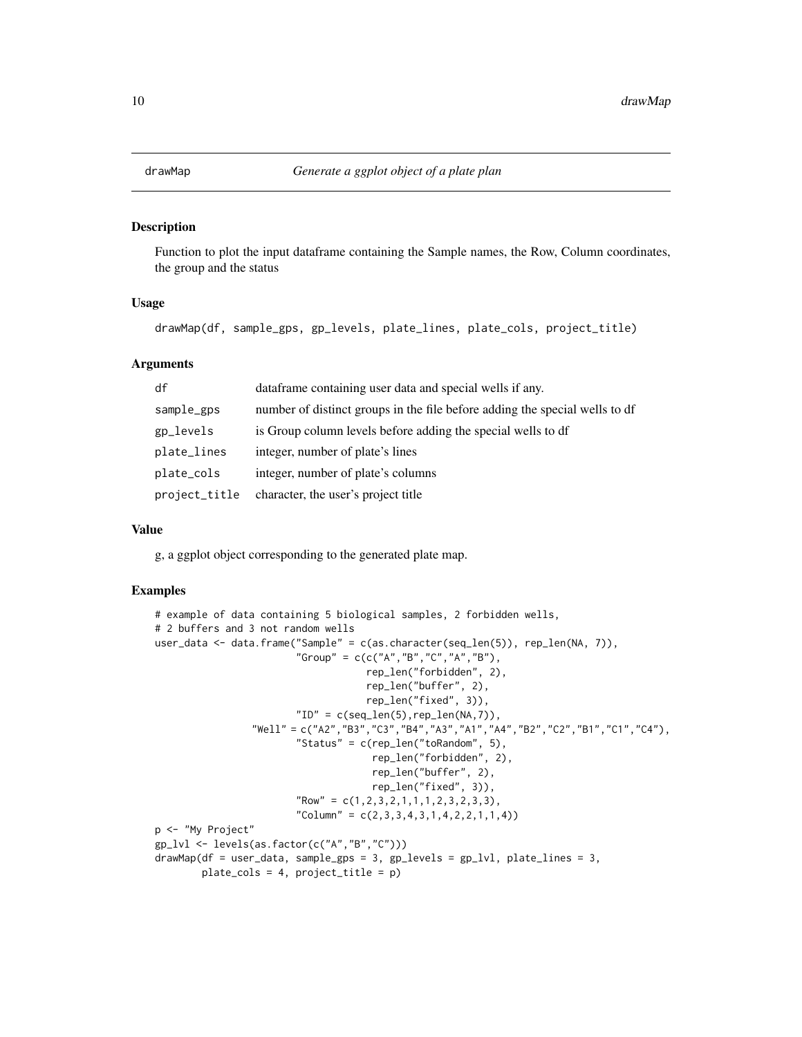<span id="page-9-0"></span>

Function to plot the input dataframe containing the Sample names, the Row, Column coordinates, the group and the status

## Usage

drawMap(df, sample\_gps, gp\_levels, plate\_lines, plate\_cols, project\_title)

#### Arguments

| df            | dataframe containing user data and special wells if any.                    |
|---------------|-----------------------------------------------------------------------------|
| sample_gps    | number of distinct groups in the file before adding the special wells to df |
| gp_levels     | is Group column levels before adding the special wells to df                |
| plate_lines   | integer, number of plate's lines                                            |
| plate_cols    | integer, number of plate's columns                                          |
| project_title | character, the user's project title                                         |

#### Value

g, a ggplot object corresponding to the generated plate map.

# Examples

```
# example of data containing 5 biological samples, 2 forbidden wells,
# 2 buffers and 3 not random wells
user_data <- data.frame("Sample" = c(as.character(seq_len(5)), rep_len(NA, 7)),
                         "Group" = c(c("A", "B", "C", "A", "B"),rep_len("forbidden", 2),
                                     rep_len("buffer", 2),
                                     rep_len("fixed", 3)),
                         "ID" = c(seq\_len(5), rep\_len(NA,7)),"Well" = c("A2","B3","C3","B4","A3","A1","A4","B2","C2","B1","C1","C4"),
                         "Status" = c(rep\_len("toRandom", 5),
                                      rep_len("forbidden", 2),
                                      rep_len("buffer", 2),
                                      rep_len("fixed", 3)),
                         "Row" = c(1, 2, 3, 2, 1, 1, 1, 2, 3, 2, 3, 3),"Column" = c(2,3,3,4,3,1,4,2,2,1,1,4))
p <- "My Project"
gp_lvl <- levels(as.factor(c("A","B","C")))
drawMap(df = user_data, sample_gps = 3, gp_levels = gp_lvl, plate_lines = 3,
        plate_cols = 4, project_title = p)
```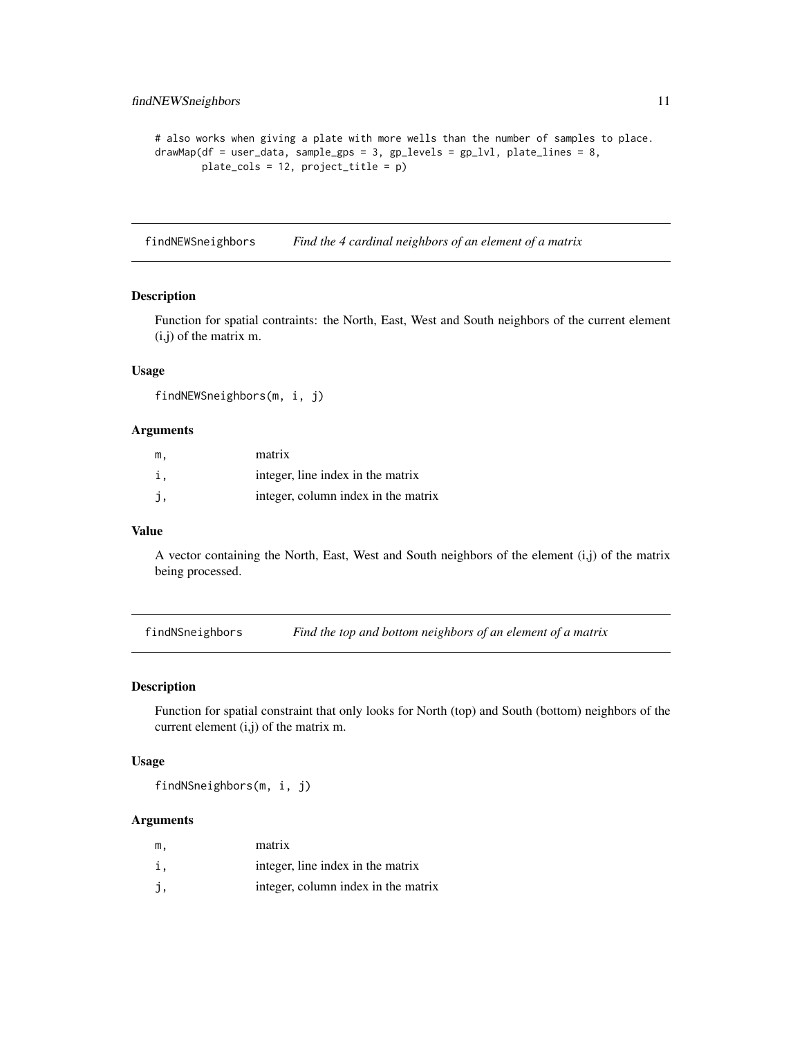```
# also works when giving a plate with more wells than the number of samples to place.
drawMap(df = user_data, sample_gps = 3, gp_levels = gp_lvl, plate_lines = 8,
       plate_cols = 12, project_title = p)
```
findNEWSneighbors *Find the 4 cardinal neighbors of an element of a matrix*

# Description

Function for spatial contraints: the North, East, West and South neighbors of the current element (i,j) of the matrix m.

# Usage

findNEWSneighbors(m, i, j)

#### Arguments

| m. | matrix                              |
|----|-------------------------------------|
| i. | integer, line index in the matrix   |
| j, | integer, column index in the matrix |

#### Value

A vector containing the North, East, West and South neighbors of the element  $(i,j)$  of the matrix being processed.

findNSneighbors *Find the top and bottom neighbors of an element of a matrix*

#### Description

Function for spatial constraint that only looks for North (top) and South (bottom) neighbors of the current element (i,j) of the matrix m.

#### Usage

findNSneighbors(m, i, j)

# Arguments

| m. | matrix                              |
|----|-------------------------------------|
| i. | integer, line index in the matrix   |
|    | integer, column index in the matrix |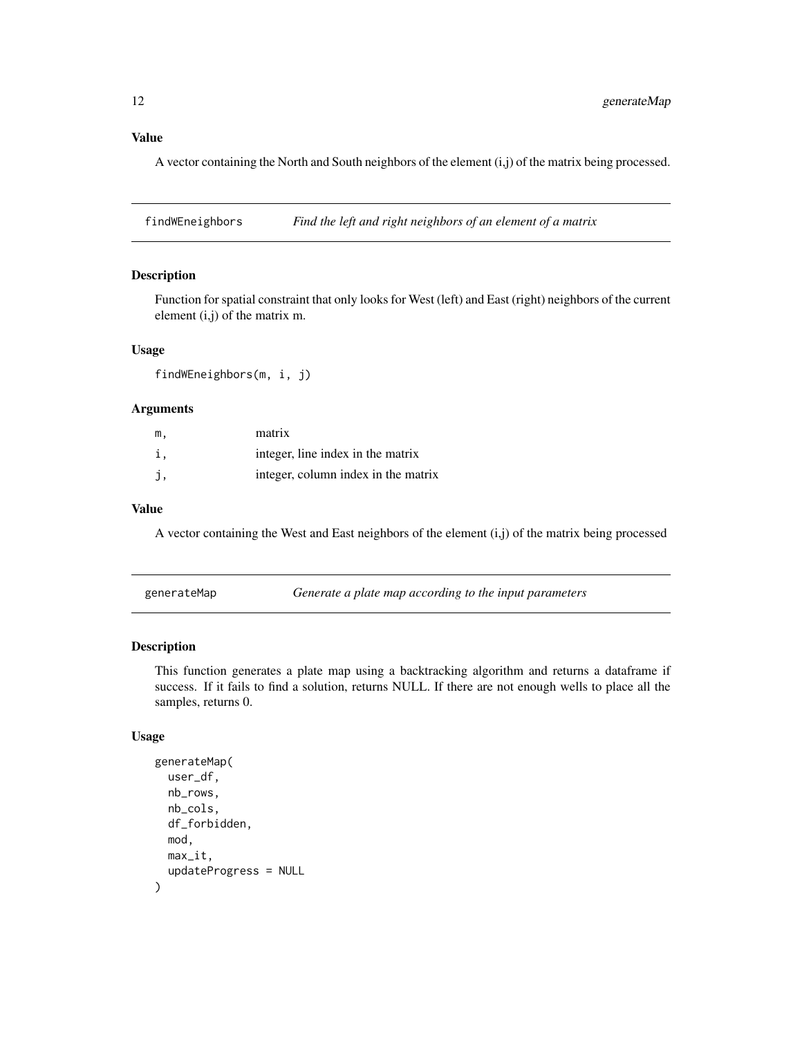# <span id="page-11-0"></span>Value

A vector containing the North and South neighbors of the element (i,j) of the matrix being processed.

findWEneighbors *Find the left and right neighbors of an element of a matrix*

#### Description

Function for spatial constraint that only looks for West (left) and East (right) neighbors of the current element (i,j) of the matrix m.

# Usage

findWEneighbors(m, i, j)

# Arguments

| m. | matrix                              |
|----|-------------------------------------|
| 1. | integer, line index in the matrix   |
| j, | integer, column index in the matrix |

# Value

A vector containing the West and East neighbors of the element (i,j) of the matrix being processed

| generateMap |  | Generate a plate map according to the input parameters |
|-------------|--|--------------------------------------------------------|
|-------------|--|--------------------------------------------------------|

# Description

This function generates a plate map using a backtracking algorithm and returns a dataframe if success. If it fails to find a solution, returns NULL. If there are not enough wells to place all the samples, returns 0.

```
generateMap(
  user_df,
  nb_rows,
  nb_cols,
  df_forbidden,
  mod,
 max_it,
  updateProgress = NULL
)
```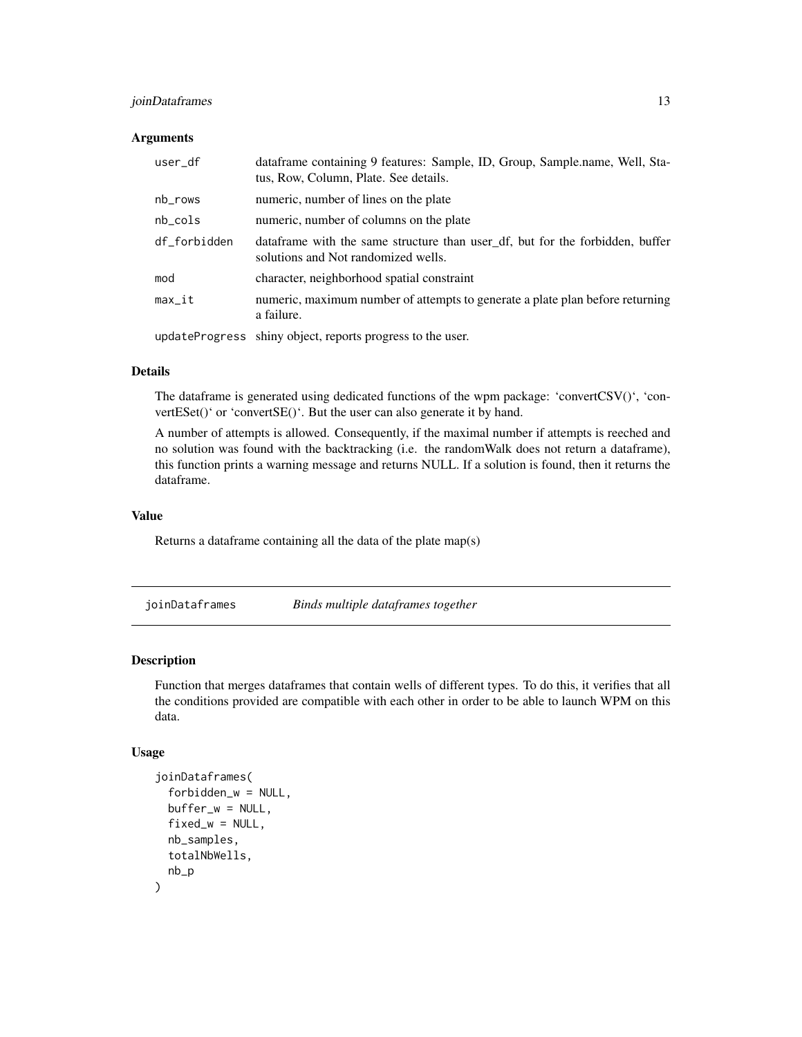# <span id="page-12-0"></span>joinDataframes 13

#### **Arguments**

| user_df      | dataframe containing 9 features: Sample, ID, Group, Sample.name, Well, Sta-<br>tus, Row, Column, Plate. See details.  |
|--------------|-----------------------------------------------------------------------------------------------------------------------|
| nb_rows      | numeric, number of lines on the plate                                                                                 |
| $nb_{cols}$  | numeric, number of columns on the plate                                                                               |
| df_forbidden | data frame with the same structure than user_df, but for the forbidden, buffer<br>solutions and Not randomized wells. |
| mod          | character, neighborhood spatial constraint                                                                            |
| $max_it$     | numeric, maximum number of attempts to generate a plate plan before returning<br>a failure.                           |
|              | updateProgress shiny object, reports progress to the user.                                                            |

Details

The dataframe is generated using dedicated functions of the wpm package: 'convertCSV()', 'convertESet()' or 'convertSE()'. But the user can also generate it by hand.

A number of attempts is allowed. Consequently, if the maximal number if attempts is reeched and no solution was found with the backtracking (i.e. the randomWalk does not return a dataframe), this function prints a warning message and returns NULL. If a solution is found, then it returns the dataframe.

# Value

Returns a dataframe containing all the data of the plate map(s)

joinDataframes *Binds multiple dataframes together*

#### Description

Function that merges dataframes that contain wells of different types. To do this, it verifies that all the conditions provided are compatible with each other in order to be able to launch WPM on this data.

```
joinDataframes(
  forbidden_w = NULL,
  buffer_w = NULL,fixed_w = NULL,
  nb_samples,
  totalNbWells,
  nb_p
)
```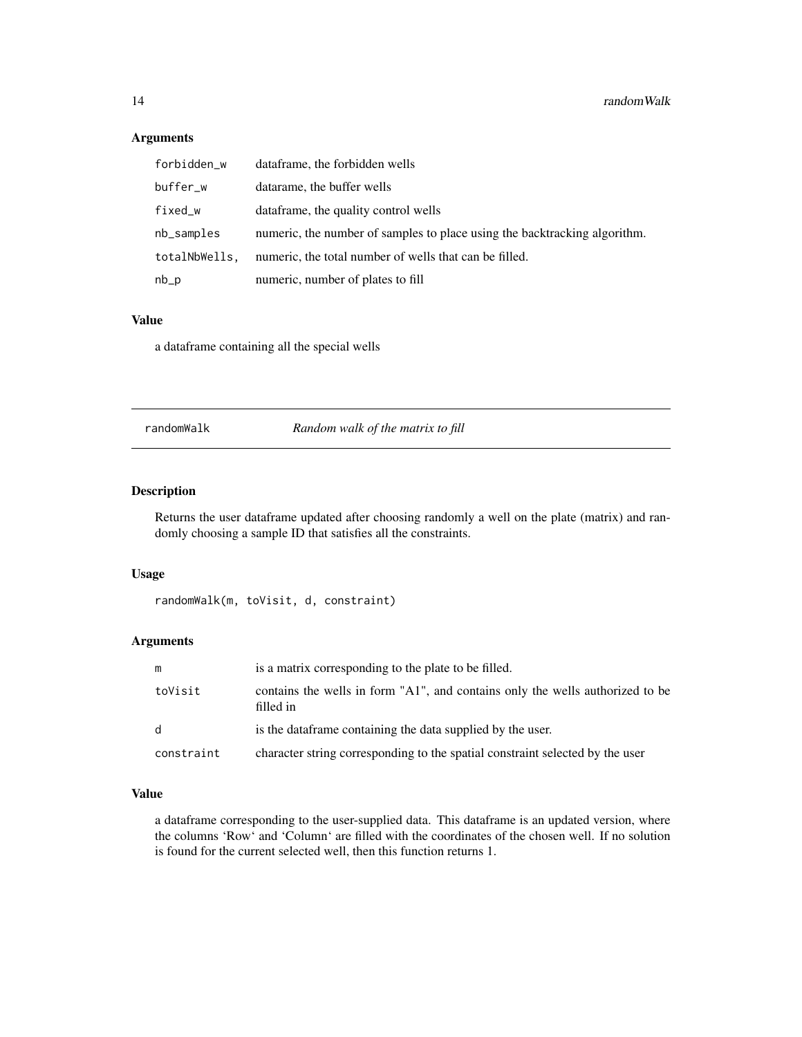# Arguments

| forbidden_w   | data frame, the forbidden wells                                           |
|---------------|---------------------------------------------------------------------------|
| buffer_w      | datarame, the buffer wells                                                |
| fixed_w       | data frame, the quality control wells                                     |
| nb_samples    | numeric, the number of samples to place using the backtracking algorithm. |
| totalNbWells, | numeric, the total number of wells that can be filled.                    |
| $nb_p$        | numeric, number of plates to fill                                         |

# Value

a dataframe containing all the special wells

randomWalk *Random walk of the matrix to fill*

# Description

Returns the user dataframe updated after choosing randomly a well on the plate (matrix) and randomly choosing a sample ID that satisfies all the constraints.

#### Usage

```
randomWalk(m, toVisit, d, constraint)
```
# Arguments

|            | is a matrix corresponding to the plate to be filled.                                       |
|------------|--------------------------------------------------------------------------------------------|
| toVisit    | contains the wells in form "A1", and contains only the wells authorized to be<br>filled in |
| d          | is the data frame containing the data supplied by the user.                                |
| constraint | character string corresponding to the spatial constraint selected by the user              |

# Value

a dataframe corresponding to the user-supplied data. This dataframe is an updated version, where the columns 'Row' and 'Column' are filled with the coordinates of the chosen well. If no solution is found for the current selected well, then this function returns 1.

<span id="page-13-0"></span>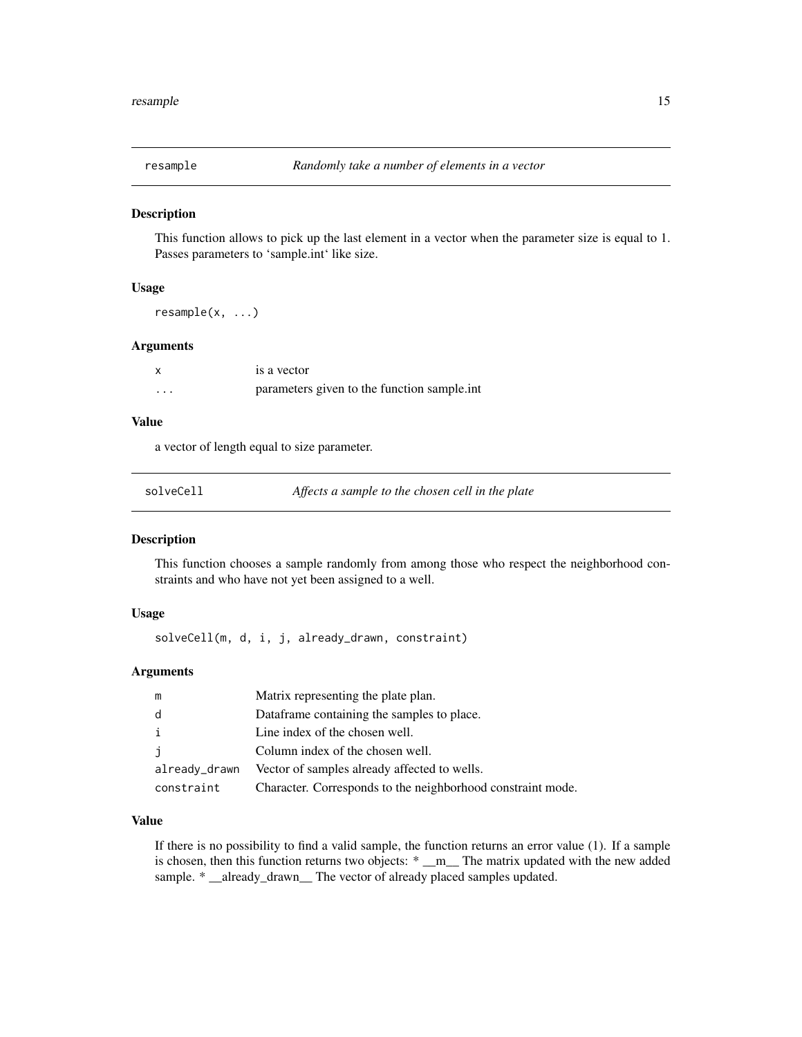<span id="page-14-0"></span>

This function allows to pick up the last element in a vector when the parameter size is equal to 1. Passes parameters to 'sample.int' like size.

# Usage

resample(x, ...)

#### **Arguments**

x is a vector ... parameters given to the function sample.int

#### Value

a vector of length equal to size parameter.

| solveCell |  |
|-----------|--|
|           |  |

Affects a sample to the chosen cell in the plate

# Description

This function chooses a sample randomly from among those who respect the neighborhood constraints and who have not yet been assigned to a well.

# Usage

solveCell(m, d, i, j, already\_drawn, constraint)

# Arguments

| m             | Matrix representing the plate plan.                         |
|---------------|-------------------------------------------------------------|
| d             | Dataframe containing the samples to place.                  |
| i             | Line index of the chosen well.                              |
| j             | Column index of the chosen well.                            |
| already_drawn | Vector of samples already affected to wells.                |
| constraint    | Character. Corresponds to the neighborhood constraint mode. |

# Value

If there is no possibility to find a valid sample, the function returns an error value (1). If a sample is chosen, then this function returns two objects: \* \_m\_ The matrix updated with the new added sample. \* \_already\_drawn\_ The vector of already placed samples updated.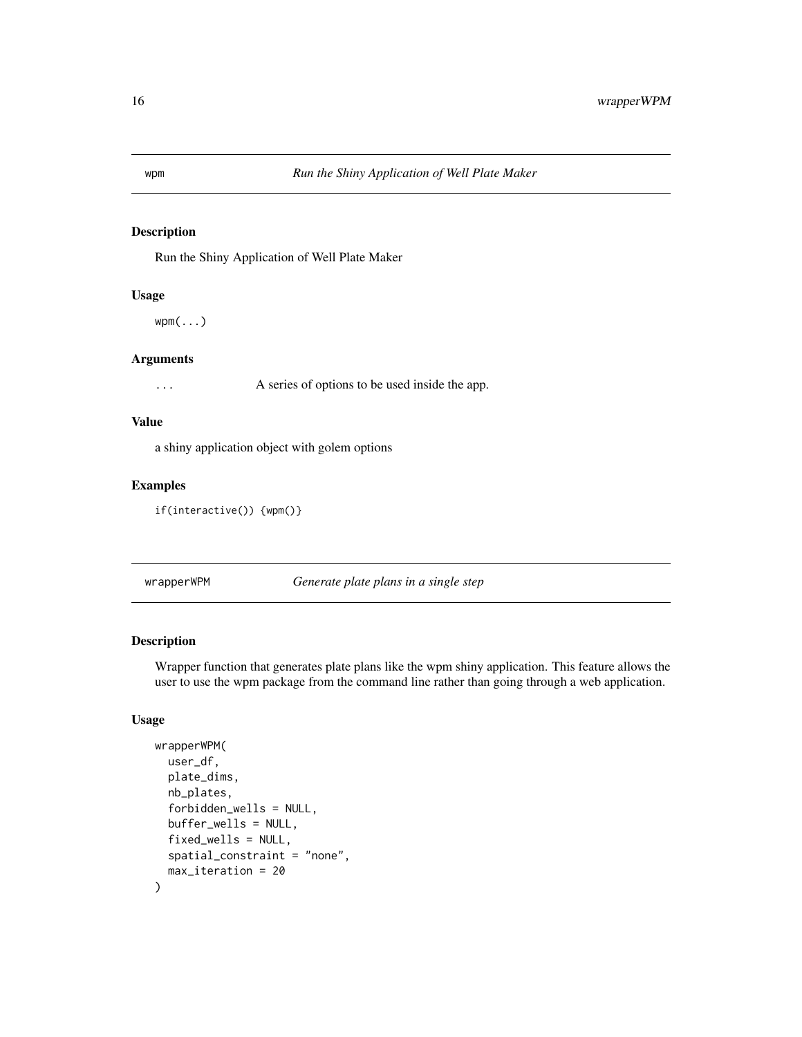<span id="page-15-0"></span>Run the Shiny Application of Well Plate Maker

# Usage

wpm(...)

# Arguments

... A series of options to be used inside the app.

# Value

a shiny application object with golem options

# Examples

```
if(interactive()) {wpm()}
```
wrapperWPM *Generate plate plans in a single step*

# Description

Wrapper function that generates plate plans like the wpm shiny application. This feature allows the user to use the wpm package from the command line rather than going through a web application.

```
wrapperWPM(
  user_df,
  plate_dims,
  nb_plates,
  forbidden_wells = NULL,
  buffer_wells = NULL,
  fixed_wells = NULL,
  spatial_constraint = "none",
  max_iteration = 20
\mathcal{E}
```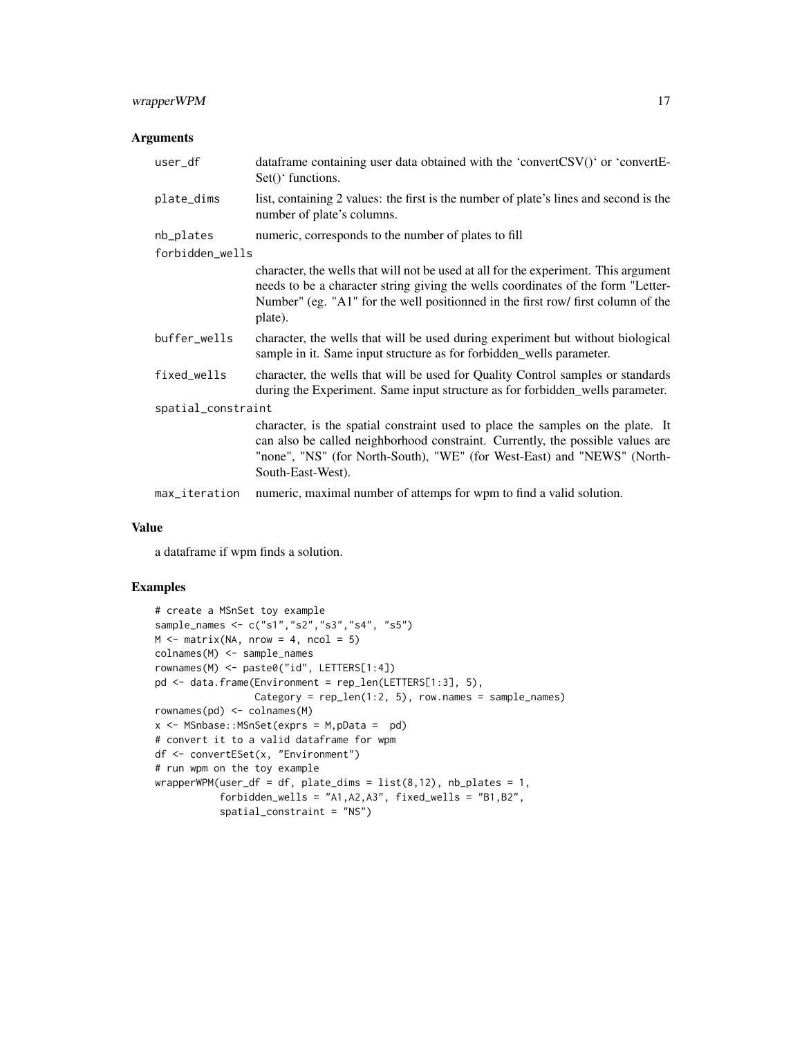# wrapperWPM 17

# Arguments

| user_df            | dataframe containing user data obtained with the 'convertCSV()' or 'convertE-<br>$Set()$ functions.                                                                                                                                                                    |  |
|--------------------|------------------------------------------------------------------------------------------------------------------------------------------------------------------------------------------------------------------------------------------------------------------------|--|
| plate_dims         | list, containing 2 values: the first is the number of plate's lines and second is the<br>number of plate's columns.                                                                                                                                                    |  |
| nb_plates          | numeric, corresponds to the number of plates to fill                                                                                                                                                                                                                   |  |
| forbidden_wells    |                                                                                                                                                                                                                                                                        |  |
|                    | character, the wells that will not be used at all for the experiment. This argument<br>needs to be a character string giving the wells coordinates of the form "Letter-<br>Number" (eg. "A1" for the well positionned in the first row/ first column of the<br>plate). |  |
| buffer_wells       | character, the wells that will be used during experiment but without biological<br>sample in it. Same input structure as for forbidden_wells parameter.                                                                                                                |  |
| fixed_wells        | character, the wells that will be used for Quality Control samples or standards<br>during the Experiment. Same input structure as for forbidden_wells parameter.                                                                                                       |  |
| spatial_constraint |                                                                                                                                                                                                                                                                        |  |
|                    | character, is the spatial constraint used to place the samples on the plate. It<br>can also be called neighborhood constraint. Currently, the possible values are<br>"none", "NS" (for North-South), "WE" (for West-East) and "NEWS" (North-<br>South-East-West).      |  |
| max_iteration      | numeric, maximal number of attemps for wpm to find a valid solution.                                                                                                                                                                                                   |  |

#### Value

a dataframe if wpm finds a solution.

# Examples

```
# create a MSnSet toy example
sample_names <- c("s1","s2","s3","s4", "s5")
M \leq - matrix(NA, nrow = 4, ncol = 5)
colnames(M) <- sample_names
rownames(M) <- paste0("id", LETTERS[1:4])
pd <- data.frame(Environment = rep_len(LETTERS[1:3], 5),
                 Category = rep\_len(1:2, 5), row.names = sample\_names)
rownames(pd) <- colnames(M)
x \le - MSnbase:: MSnSet(exprs = M, pData = pd)
# convert it to a valid dataframe for wpm
df <- convertESet(x, "Environment")
# run wpm on the toy example
wrapperWPM(user_df = df, plate_dims = list(8, 12), nb_plates = 1,forbidden_wells = "A1,A2,A3", fixed_wells = "B1,B2",
           spatial_constraint = "NS")
```